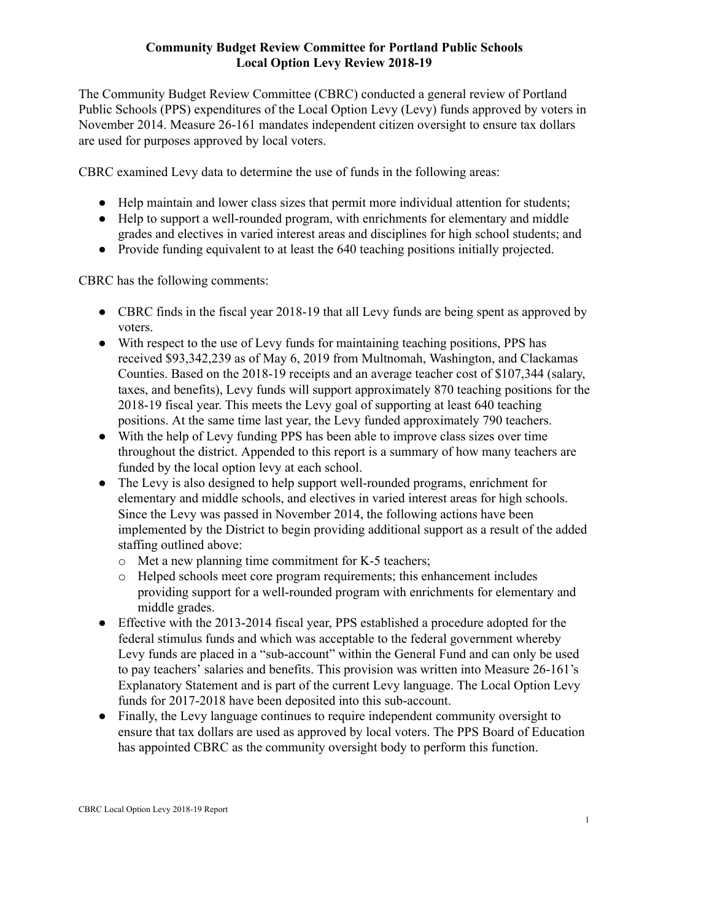## **Community Budget Review Committee for Portland Public Schools Local Option Levy Review 2018-19**

The Community Budget Review Committee (CBRC) conducted a general review of Portland Public Schools (PPS) expenditures of the Local Option Levy (Levy) funds approved by voters in November 2014. Measure 26-161 mandates independent citizen oversight to ensure tax dollars are used for purposes approved by local voters.

CBRC examined Levy data to determine the use of funds in the following areas:

- Help maintain and lower class sizes that permit more individual attention for students;
- Help to support a well-rounded program, with enrichments for elementary and middle grades and electives in varied interest areas and disciplines for high school students; and
- Provide funding equivalent to at least the 640 teaching positions initially projected.

CBRC has the following comments:

- CBRC finds in the fiscal year 2018-19 that all Levy funds are being spent as approved by voters.
- With respect to the use of Levy funds for maintaining teaching positions, PPS has received \$93,342,239 as of May 6, 2019 from Multnomah, Washington, and Clackamas Counties. Based on the 2018-19 receipts and an average teacher cost of \$107,344 (salary, taxes, and benefits), Levy funds will support approximately 870 teaching positions for the 2018-19 fiscal year. This meets the Levy goal of supporting at least 640 teaching positions. At the same time last year, the Levy funded approximately 790 teachers.
- With the help of Levy funding PPS has been able to improve class sizes over time throughout the district. Appended to this report is a summary of how many teachers are funded by the local option levy at each school.
- The Levy is also designed to help support well-rounded programs, enrichment for elementary and middle schools, and electives in varied interest areas for high schools. Since the Levy was passed in November 2014, the following actions have been implemented by the District to begin providing additional support as a result of the added staffing outlined above:
	- o Met a new planning time commitment for K-5 teachers;
	- o Helped schools meet core program requirements; this enhancement includes providing support for a well-rounded program with enrichments for elementary and middle grades.
- Effective with the 2013-2014 fiscal year, PPS established a procedure adopted for the federal stimulus funds and which was acceptable to the federal government whereby Levy funds are placed in a "sub-account" within the General Fund and can only be used to pay teachers' salaries and benefits. This provision was written into Measure 26-161's Explanatory Statement and is part of the current Levy language. The Local Option Levy funds for 2017-2018 have been deposited into this sub-account.
- Finally, the Levy language continues to require independent community oversight to ensure that tax dollars are used as approved by local voters. The PPS Board of Education has appointed CBRC as the community oversight body to perform this function.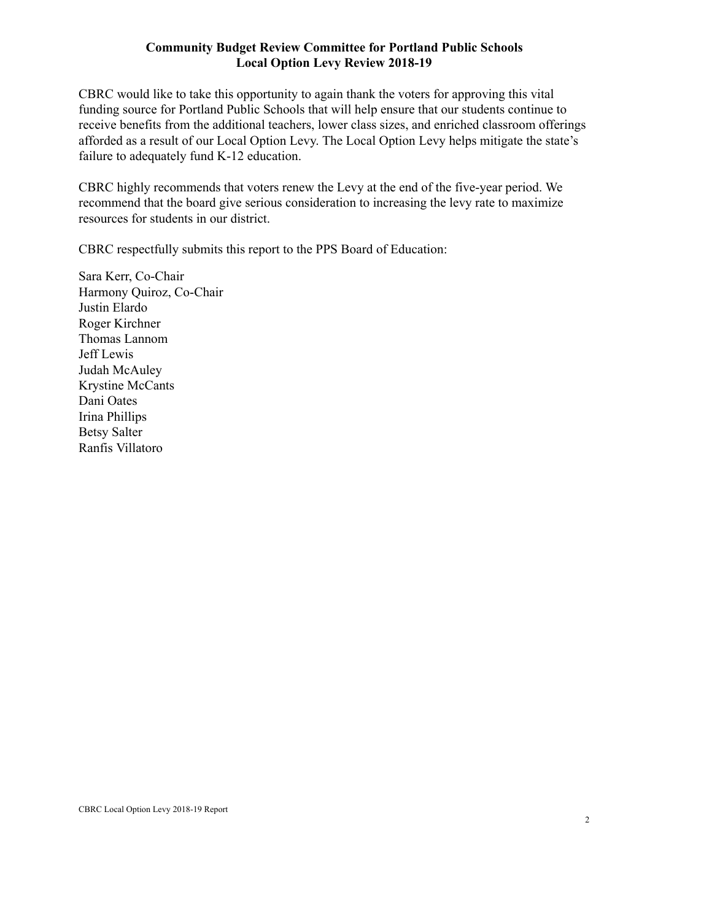## **Community Budget Review Committee for Portland Public Schools Local Option Levy Review 2018-19**

CBRC would like to take this opportunity to again thank the voters for approving this vital funding source for Portland Public Schools that will help ensure that our students continue to receive benefits from the additional teachers, lower class sizes, and enriched classroom offerings afforded as a result of our Local Option Levy. The Local Option Levy helps mitigate the state's failure to adequately fund K-12 education.

CBRC highly recommends that voters renew the Levy at the end of the five-year period. We recommend that the board give serious consideration to increasing the levy rate to maximize resources for students in our district.

CBRC respectfully submits this report to the PPS Board of Education:

Sara Kerr, Co-Chair Harmony Quiroz, Co-Chair Justin Elardo Roger Kirchner Thomas Lannom Jeff Lewis Judah McAuley Krystine McCants Dani Oates Irina Phillips Betsy Salter Ranfis Villatoro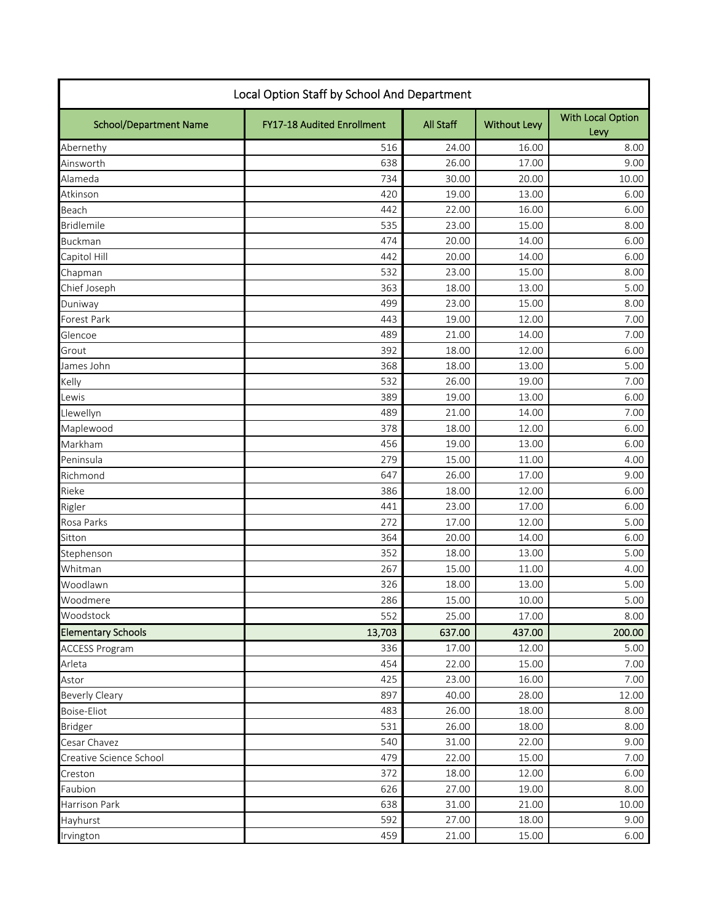| Local Option Staff by School And Department |                            |           |                     |                                  |  |  |  |
|---------------------------------------------|----------------------------|-----------|---------------------|----------------------------------|--|--|--|
| <b>School/Department Name</b>               | FY17-18 Audited Enrollment | All Staff | <b>Without Levy</b> | <b>With Local Option</b><br>Levy |  |  |  |
| Abernethy                                   | 516                        | 24.00     | 16.00               | 8.00                             |  |  |  |
| Ainsworth                                   | 638                        | 26.00     | 17.00               | 9.00                             |  |  |  |
| Alameda                                     | 734                        | 30.00     | 20.00               | 10.00                            |  |  |  |
| Atkinson                                    | 420                        | 19.00     | 13.00               | 6.00                             |  |  |  |
| Beach                                       | 442                        | 22.00     | 16.00               | 6.00                             |  |  |  |
| <b>Bridlemile</b>                           | 535                        | 23.00     | 15.00               | 8.00                             |  |  |  |
| <b>Buckman</b>                              | 474                        | 20.00     | 14.00               | 6.00                             |  |  |  |
| Capitol Hill                                | 442                        | 20.00     | 14.00               | 6.00                             |  |  |  |
| Chapman                                     | 532                        | 23.00     | 15.00               | 8.00                             |  |  |  |
| Chief Joseph                                | 363                        | 18.00     | 13.00               | 5.00                             |  |  |  |
| Duniway                                     | 499                        | 23.00     | 15.00               | 8.00                             |  |  |  |
| Forest Park                                 | 443                        | 19.00     | 12.00               | 7.00                             |  |  |  |
| Glencoe                                     | 489                        | 21.00     | 14.00               | 7.00                             |  |  |  |
| Grout                                       | 392                        | 18.00     | 12.00               | 6.00                             |  |  |  |
| James John                                  | 368                        | 18.00     | 13.00               | 5.00                             |  |  |  |
| Kelly                                       | 532                        | 26.00     | 19.00               | 7.00                             |  |  |  |
| Lewis                                       | 389                        | 19.00     | 13.00               | 6.00                             |  |  |  |
| Llewellyn                                   | 489                        | 21.00     | 14.00               | 7.00                             |  |  |  |
| Maplewood                                   | 378                        | 18.00     | 12.00               | 6.00                             |  |  |  |
| Markham                                     | 456                        | 19.00     | 13.00               | 6.00                             |  |  |  |
| Peninsula                                   | 279                        | 15.00     | 11.00               | 4.00                             |  |  |  |
| Richmond                                    | 647                        | 26.00     | 17.00               | 9.00                             |  |  |  |
| Rieke                                       | 386                        | 18.00     | 12.00               | 6.00                             |  |  |  |
| Rigler                                      | 441                        | 23.00     | 17.00               | 6.00                             |  |  |  |
| Rosa Parks                                  | 272                        | 17.00     | 12.00               | 5.00                             |  |  |  |
| Sitton                                      | 364                        | 20.00     | 14.00               | 6.00                             |  |  |  |
| Stephenson                                  | 352                        | 18.00     | 13.00               | 5.00                             |  |  |  |
| Whitman                                     | 267                        | 15.00     | 11.00               | 4.00                             |  |  |  |
| Woodlawn                                    | 326                        | 18.00     | 13.00               | 5.00                             |  |  |  |
| Woodmere                                    | 286                        | 15.00     | 10.00               | 5.00                             |  |  |  |
| Woodstock                                   | 552                        | 25.00     | 17.00               | 8.00                             |  |  |  |
| <b>Elementary Schools</b>                   | 13,703                     | 637.00    | 437.00              | 200.00                           |  |  |  |
| <b>ACCESS Program</b>                       | 336                        | 17.00     | 12.00               | 5.00                             |  |  |  |
| Arleta                                      | 454                        | 22.00     | 15.00               | 7.00                             |  |  |  |
| Astor                                       | 425                        | 23.00     | 16.00               | 7.00                             |  |  |  |
| <b>Beverly Cleary</b>                       | 897                        | 40.00     | 28.00               | 12.00                            |  |  |  |
| Boise-Eliot                                 | 483                        | 26.00     | 18.00               | 8.00                             |  |  |  |
| <b>Bridger</b>                              | 531                        | 26.00     | 18.00               | 8.00                             |  |  |  |
| Cesar Chavez                                | 540                        | 31.00     | 22.00               | 9.00                             |  |  |  |
| Creative Science School                     | 479                        | 22.00     | 15.00               | 7.00                             |  |  |  |
| Creston                                     | 372                        | 18.00     | 12.00               | 6.00                             |  |  |  |
| Faubion                                     | 626                        | 27.00     | 19.00               | 8.00                             |  |  |  |
| Harrison Park                               | 638                        | 31.00     | 21.00               | 10.00                            |  |  |  |
| Hayhurst                                    | 592                        | 27.00     | 18.00               | 9.00                             |  |  |  |
| Irvington                                   | 459                        | 21.00     | 15.00               | 6.00                             |  |  |  |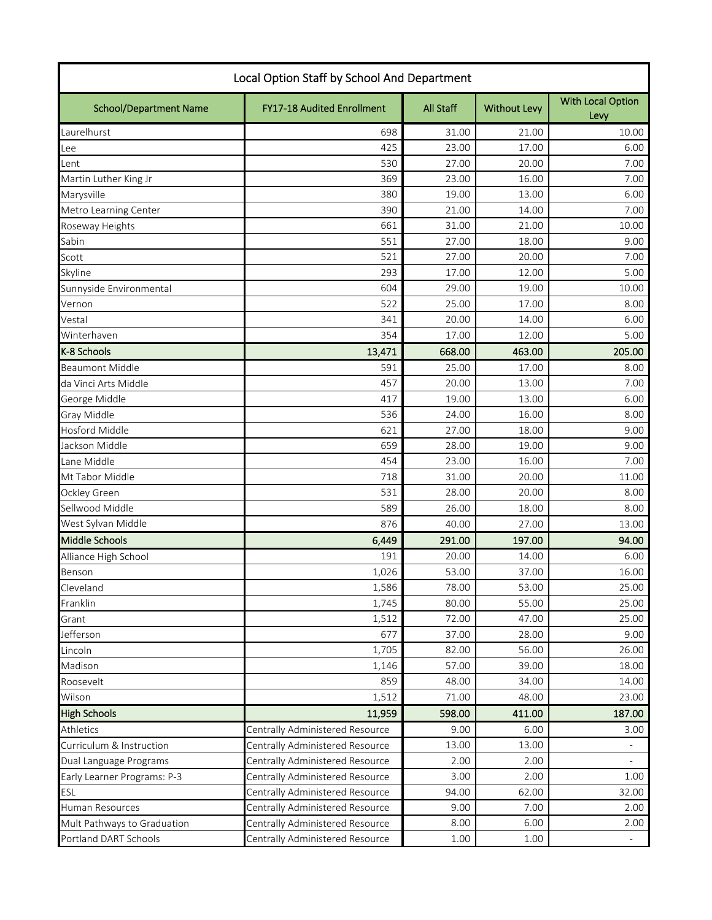| Local Option Staff by School And Department |                                 |                  |                     |                           |  |  |
|---------------------------------------------|---------------------------------|------------------|---------------------|---------------------------|--|--|
| <b>School/Department Name</b>               | FY17-18 Audited Enrollment      | <b>All Staff</b> | <b>Without Levy</b> | With Local Option<br>Levy |  |  |
| Laurelhurst                                 | 698                             | 31.00            | 21.00               | 10.00                     |  |  |
| Lee                                         | 425                             | 23.00            | 17.00               | 6.00                      |  |  |
| Lent                                        | 530                             | 27.00            | 20.00               | 7.00                      |  |  |
| Martin Luther King Jr                       | 369                             | 23.00            | 16.00               | 7.00                      |  |  |
| Marysville                                  | 380                             | 19.00            | 13.00               | 6.00                      |  |  |
| Metro Learning Center                       | 390                             | 21.00            | 14.00               | 7.00                      |  |  |
| Roseway Heights                             | 661                             | 31.00            | 21.00               | 10.00                     |  |  |
| Sabin                                       | 551                             | 27.00            | 18.00               | 9.00                      |  |  |
| Scott                                       | 521                             | 27.00            | 20.00               | 7.00                      |  |  |
| Skyline                                     | 293                             | 17.00            | 12.00               | 5.00                      |  |  |
| Sunnyside Environmental                     | 604                             | 29.00            | 19.00               | 10.00                     |  |  |
| Vernon                                      | 522                             | 25.00            | 17.00               | 8.00                      |  |  |
| Vestal                                      | 341                             | 20.00            | 14.00               | 6.00                      |  |  |
| Winterhaven                                 | 354                             | 17.00            | 12.00               | 5.00                      |  |  |
| K-8 Schools                                 | 13,471                          | 668.00           | 463.00              | 205.00                    |  |  |
| <b>Beaumont Middle</b>                      | 591                             | 25.00            | 17.00               | 8.00                      |  |  |
| da Vinci Arts Middle                        | 457                             | 20.00            | 13.00               | 7.00                      |  |  |
| George Middle                               | 417                             | 19.00            | 13.00               | 6.00                      |  |  |
| Gray Middle                                 | 536                             | 24.00            | 16.00               | 8.00                      |  |  |
| <b>Hosford Middle</b>                       | 621                             | 27.00            | 18.00               | 9.00                      |  |  |
| Jackson Middle                              | 659                             | 28.00            | 19.00               | 9.00                      |  |  |
| Lane Middle                                 | 454                             | 23.00            | 16.00               | 7.00                      |  |  |
| Mt Tabor Middle                             | 718                             | 31.00            | 20.00               | 11.00                     |  |  |
| Ockley Green                                | 531                             | 28.00            | 20.00               | 8.00                      |  |  |
| Sellwood Middle                             | 589                             | 26.00            | 18.00               | 8.00                      |  |  |
| West Sylvan Middle                          | 876                             | 40.00            | 27.00               | 13.00                     |  |  |
| <b>Middle Schools</b>                       | 6,449                           | 291.00           | 197.00              | 94.00                     |  |  |
| Alliance High School                        | 191                             | 20.00            | 14.00               | 6.00                      |  |  |
| Benson                                      | 1,026                           | 53.00            | 37.00               | 16.00                     |  |  |
| Cleveland                                   | 1,586                           | 78.00            | 53.00               | 25.00                     |  |  |
| Franklin                                    | 1,745                           | 80.00            | 55.00               | 25.00                     |  |  |
| Grant                                       | 1,512                           | 72.00            | 47.00               | 25.00                     |  |  |
| Jefferson                                   | 677                             | 37.00            | 28.00               | 9.00                      |  |  |
| Lincoln                                     | 1,705                           | 82.00            | 56.00               | 26.00                     |  |  |
| Madison                                     | 1,146                           | 57.00            | 39.00               | 18.00                     |  |  |
| Roosevelt                                   | 859                             | 48.00            | 34.00               | 14.00                     |  |  |
| Wilson                                      | 1,512                           | 71.00            | 48.00               | 23.00                     |  |  |
| <b>High Schools</b>                         | 11,959                          | 598.00           | 411.00              | 187.00                    |  |  |
| <b>Athletics</b>                            | Centrally Administered Resource | 9.00             | 6.00                | 3.00                      |  |  |
| Curriculum & Instruction                    | Centrally Administered Resource | 13.00            | 13.00               |                           |  |  |
| Dual Language Programs                      | Centrally Administered Resource | 2.00             | 2.00                |                           |  |  |
| Early Learner Programs: P-3                 | Centrally Administered Resource | 3.00             | 2.00                | 1.00                      |  |  |
| ESL                                         | Centrally Administered Resource | 94.00            | 62.00               | 32.00                     |  |  |
| Human Resources                             | Centrally Administered Resource | 9.00             | 7.00                | 2.00                      |  |  |
| Mult Pathways to Graduation                 | Centrally Administered Resource | 8.00             | 6.00                | 2.00                      |  |  |
| Portland DART Schools                       | Centrally Administered Resource | 1.00             | 1.00                | $\equiv$                  |  |  |